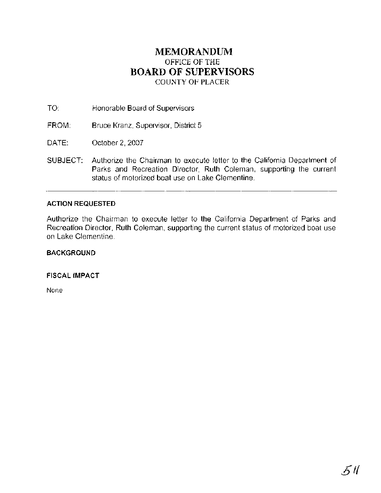### **MEMORANDUM**  OFFICE OF THE **BOARD** OF **SUPERVISORS**  COUNTY **OF** PLACER

TO: Honorable Board of Supervisors

- FROM: Bruce Kranz, Supervisor, District 5
- DATE: October 2, 2007
- SUBJECT: Authorize the Chairman to execute letter to the California Department of Parks and Recreation Director, Ruth Coleman, supporting the current status of motorized boat use on Lake Clementine.

### **ACTION REQUESTED**

Authorize the Chairman to execute letter to the California Department of Parks and Recreation Director, Ruth Coleman, supporting the current status of motorized boat use on Lake Clementine.

### **BACKGROUND**

**FISCAL IMPACT** 

None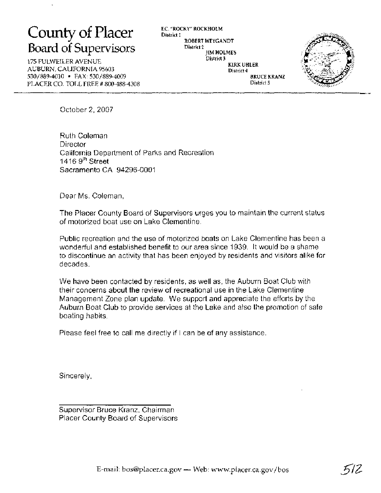## County of Placer F.C. "ROCKY" ROCKHOLM Board of Supervisors District **2** IM HOLMES

175 FULWEILER AVENUE AUBURN, CALIFORNIA 95603 530/889-4010 FAX: 530/889-4009 PLACER CO. TOLL FREE # 800-488-4308 District 1 ROBERT WEYGANDT District 3 District 4

KIRK UHLER BRUCE KRANZ District 5



October 2,2007

Ruth Coleman **Director** California Department of Parks and Recreation 1416  $9<sup>th</sup>$  Street Sacramento CA 94296-0001

Dear Ms. Coleman,

The Placer County Board of Supervisors urges you to maintain the current status of motorized boat use on Lake Clementine.

Public recreation and the use of motorized boats on Lake Clementine has been a wonderful and established benefit to our area since 1939. It would be a shame to discontinue an activity that has been enjoyed by residents and visitors alike for decades.

We have been contacted by residents, as well as, the Auburn Boat Club with their concerns about the review of recreational use in the Lake Clementine Management Zone plan update. We support and appreciate the efforts by the Auburn Boat Club to provide services at the Lake and also the promotion of safe boating habits.

Please feel free to call me directly if I can be of any assistance.

Sincerely,

Supervisor Bruce Kranz, Chairman Placer County Board of Supervisors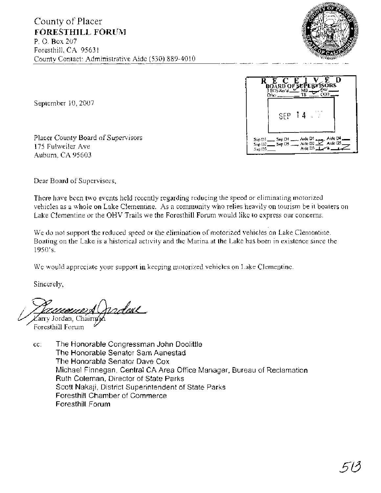

September 10,2007

Placer County Board of Supervisors 175 Fulweiler Ave Auburn, CA 95603



Dear Board of Supervisors,

There have been two events held recently regarding reducing the speed or eliminating motorized vehicles as a whole on Lake Clementine. As a community who relies heavily on tourism be it boaters on Lake Clementine or the OHV Trails we the Foresthill Forum would like to express our concerns.

We do not support the reduced speed or the elimination of motorized vehicles on Lake Clementine. Boating on the Lake is a historical activity and the Marina at the Lake has been in existence since the 1950's.

We would appreciate your support in keeping motorized vehicles on Lake Clementine.

Sincerely,

Jerdae

Zarry Jordan, Chairmách<br>Foresthill Forum

cc: The Honorable Congressman John Doolittle The Honorable Senator Sam Aanestad The Honorable Senator Dave Cox Michael Finnegan, Central CA Area Office Manager, Bureau of Reclamation Ruth Coleman, Director of State Parks Scott Nakaji, District Superintendent of State Parks Foresthill Chamber of Commerce Foresthill Forum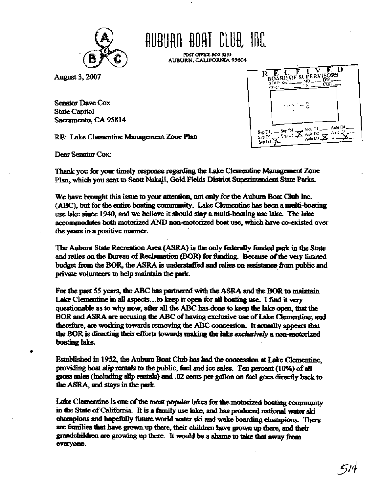

# AUBURN BOAT CLUB, INC.

POST OFFICE BOX 3233 **AUBURN, CALIFORNIA 95604** 

August 3, 2007

Senator Dave Cox **State Capitol** Sacramento, CA 95814

RE: Lake Clementine Management Zone Pian

D E Ć **BOARD OF SUPERVISORS** R ÑЮ. ikis keed . cos ٦۹ Oiker. Aide D4 Aide Ol Sup D4 Sup Di Aide QS  $\mathbf{X}$  Auk D<sup>2</sup>. Sup D5 Sup D2. Aide D3 San DJ

Dear Senator Cox:

Thank you for your timely response regarding the Lake Clementine Management Zone Plan, which you sent to Scott Nakaji, Gold Fields District Superintendent State Parks.

We have brought this issue to your attention, not only for the Auburn Boat Club Inc. (ABC), but for the entire boating community. Lake Clementine has been a multi-boating use lake since 1940, and we believe it should stay a multi-boating use lake. The lake accommodates both motorized AND non-motorized boat use, which have co-existed over the years in a positive manner.

The Auburn State Recreation Area (ASRA) is the only federally funded park in the State and relies on the Bureau of Reclamation (BOR) for funding. Because of the very limited budget from the BOR, the ASRA is understaffed and relies on assistance from public and private volunteers to help maintain the park.

For the past 55 years, the ABC has partnered with the ASRA and the BOR to maintain Lake Clementine in all aspects...to keep it open for all bosting use. I find it very questionable as to why now, after all the ABC has done to keep the lake open, that the BOR and ASRA are accusing the ABC of having exclusive use of Lake Clementine; and therefore, are working towards removing the ABC concession. It actually appears that the BOR is directing their efforts towards making the lake exclusively a non-motorized boating lake.

Established in 1952, the Auburn Boat Club has had the concession at Lake Clementine. providing boat slip rentals to the public, fuel and ice sales. Ten percent (10%) of all gross sales (including slip rentals) and .02 cents per gallon on fuel goes directly back to the ASRA, and stays in the park.

Lake Clementine is one of the most popular lakes for the motorized boating community in the State of California. It is a family use lake, and has produced national water ski champions and hopefully future world water ski and wake boarding champions. There are families that have grown up there, their children have grown up there, and their grandchildren are growing up there. It would be a shame to take that away from everyone.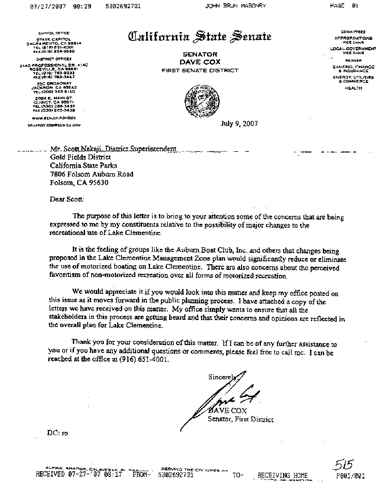**CfiPITOL OFFICE ~TATG CAPITOL ~ACRAMPNTO. CA PSBW TEL (ole) 65>-h001 FAX (916) 324-2680** 

**DISTRICT OFFICES** 

**Ztao PROFESSIONAL DR. Y I40 ROSEVILLE. CA 95661 TEL 1916) 783-8292 F~X (91 6) 783-3487** 

33C BROACWAY JACKSON, CA 99642<br>TEL (209) 223-9140

**2094 E. MPlN ST. QUINCY. CA 95971 TEL (530) 203-3437 FAX (530) 288-343s** 

WWW.EEN.CA.GOVICOX

**CENATION CORPSEN CA GOV** 

California State Senate

**SENATOR DAVE COX FIRST SENATE DlSTRlCT** 



July 9,2007

**COMMITTEES APPROPRIATIONE VlCE CHAIR** 

**LOCAL GOVERNMEN7 VICE CHAIR** 

**BANKING. FINANCE**  & **INSURANCE ENERGY, IJTILITlES**  *B* **COMMERCE** 

**HEALTH** 

Mr. Scott Nakaji, District Superintendent .... ... ... ... Gold Ficlds District California **State Parks**  7806 Folsom **Auburn** Road Folsom, CA 95630

Dear Scott: . .

**The** purpose of this letter is to **bfing** to your attention **some of** the concerns **that** are being expressed to me by my constituents relative to the possibility of major changes to the recreational **use** of Lake Clementine.

**It** is the feeling of groups **like** the Auburn Boat Club, Inc. and others that changes being . proposed in **the** Lake Clementine Management Zone plan **would** significantly reduce **or** eliminate the use of motorized boating on Lake Clementine. There are also concerns about the perceived favoritism of non-motorized recreation ovcr all forms **of motorized** recreation.

We would appreciate it if you would look into this matter and keep my office posted on this **issue as** it **moves** forward in the **public** planning process. 1 **have** attached a **copy** of the letters **we havc** received on this **matter.** My office simply **wcnts** to ensure that all the stakeholders in this process are **getting** beard and **that** their concern **and** opinions **are** reflected **in**  the overall plan for Lake Clementine.

**Thank** you for your considexation of this matter. If I can be of any further **assistance** to you or **if** you have **any** additional questions or comments, please feel fiee to call mc. I can be reached at the office at  $(916)$  651-4001.

Sincere E COX Senator, First District

**DC: ro**